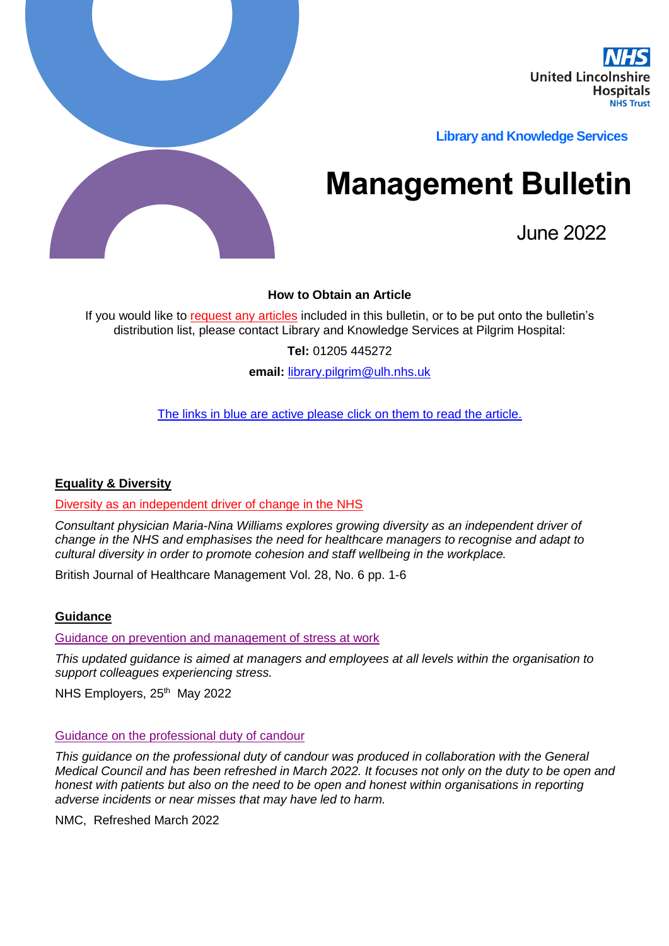

**Library and Knowledge Services** 

# **Management Bulletin**

June 2022

## **How to Obtain an Article**

If you would like to request any articles included in this bulletin, or to be put onto the bulletin's distribution list, please contact Library and Knowledge Services at Pilgrim Hospital:

**Tel:** 01205 445272

**email:** [library.pilgrim@ulh.nhs.uk](mailto:library.pilgrim@ulh.nhs.uk)

The links in blue are active please click on them to read the article.

#### **Equality & Diversity**

Diversity as an independent driver of change in the NHS

*Consultant physician Maria-Nina Williams explores growing diversity as an independent driver of change in the NHS and emphasises the need for healthcare managers to recognise and adapt to cultural diversity in order to promote cohesion and staff wellbeing in the workplace.*

British Journal of Healthcare Management Vol. 28, No. 6 pp. 1-6

#### **Guidance**

[Guidance on prevention and management of stress at work](https://www.nhsemployers.org/publications/guidance-prevention-and-management-stress-work)

*This updated guidance is aimed at managers and employees at all levels within the organisation to support colleagues experiencing stress.*

NHS Employers, 25<sup>th</sup> May 2022

#### [Guidance on the professional duty of candour](https://www.nmc.org.uk/globalassets/sitedocuments/nmc-publications/openness-and-honesty-professional-duty-of-candour.pdf)

*This guidance on the professional duty of candour was produced in collaboration with the General Medical Council and has been refreshed in March 2022. It focuses not only on the duty to be open and honest with patients but also on the need to be open and honest within organisations in reporting adverse incidents or near misses that may have led to harm.*

NMC, Refreshed March 2022

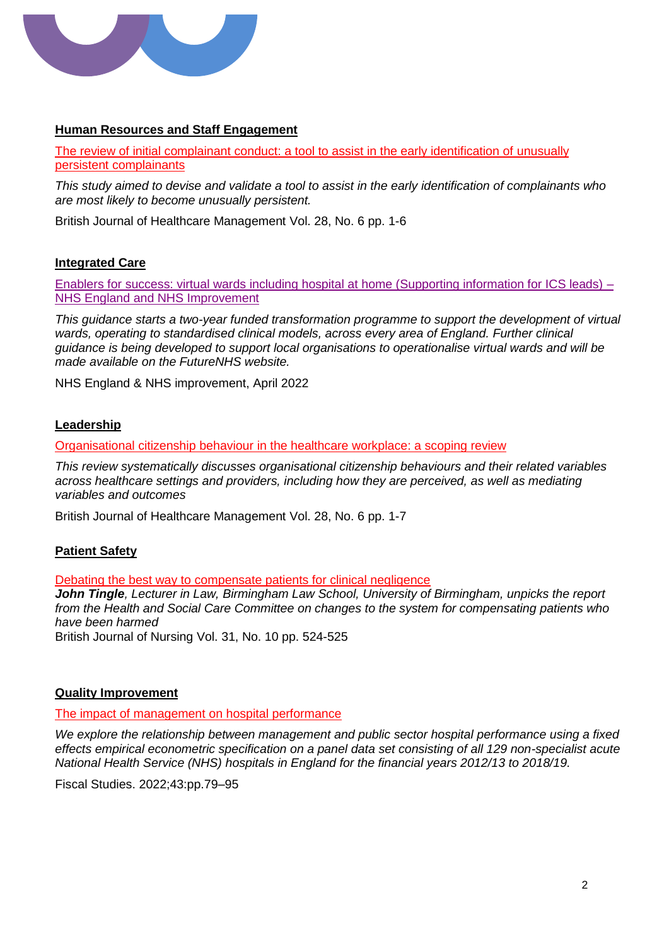

# **Human Resources and Staff Engagement**

The review of initial complainant conduct: a tool to assist in the early identification of unusually persistent complainants

*This study aimed to devise and validate a tool to assist in the early identification of complainants who are most likely to become unusually persistent.*

British Journal of Healthcare Management Vol. 28, No. 6 pp. 1-6

#### **Integrated Care**

[Enablers for success: virtual wards including hospital at home \(Supporting information for ICS leads\) –](https://allcatsrgrey.org.uk/wp/download/governance/integrated_care/B1382_supporting-information-for-integrated-care-system-leads_enablers-for-success_virtual-wards-including-hos.pdf) [NHS England and NHS Improvement](https://allcatsrgrey.org.uk/wp/download/governance/integrated_care/B1382_supporting-information-for-integrated-care-system-leads_enablers-for-success_virtual-wards-including-hos.pdf)

*This guidance starts a two-year funded transformation programme to support the development of virtual wards, operating to standardised clinical models, across every area of England. Further clinical guidance is being developed to support local organisations to operationalise virtual wards and will be made available on the FutureNHS website.*

NHS England & NHS improvement, April 2022

#### **Leadership**

Organisational citizenship behaviour in the healthcare workplace: a scoping review

*This review systematically discusses organisational citizenship behaviours and their related variables across healthcare settings and providers, including how they are perceived, as well as mediating variables and outcomes*

British Journal of Healthcare Management Vol. 28, No. 6 pp. 1-7

# **Patient Safety**

Debating the best way to compensate patients for clinical negligence

*John Tingle, Lecturer in Law, Birmingham Law School, University of Birmingham, unpicks the report from the Health and Social Care Committee on changes to the system for compensating patients who have been harmed*

British Journal of Nursing Vol. 31, No. 10 pp. 524-525

#### **Quality Improvement**

The impact of management on hospital performance

*We explore the relationship between management and public sector hospital performance using a fixed effects empirical econometric specification on a panel data set consisting of all 129 non-specialist acute National Health Service (NHS) hospitals in England for the financial years 2012/13 to 2018/19.*

Fiscal Studies. 2022;43:pp.79–95